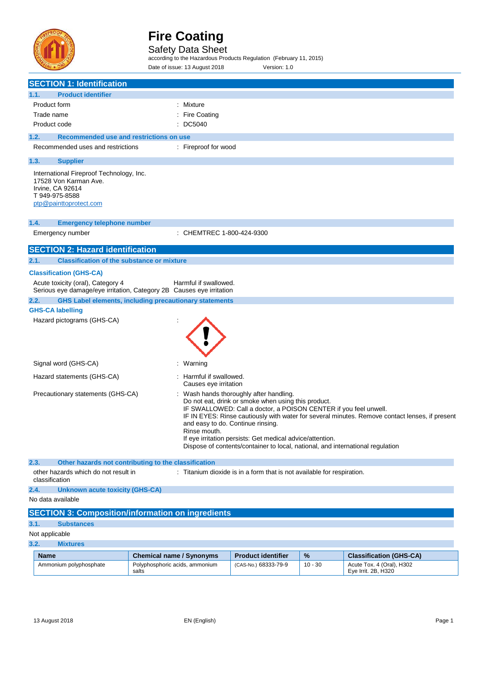

Safety Data Sheet<br>according to the Hazardous Products Regulation (February 11, 2015)

Date of issue: 13 August 2018 Version: 1.0

| <b>SECTION 1: Identification</b>                                                                                                  |       |                                                  |                                                                                                                                                                                                                                                                                                                                                        |           |                                                                                                |
|-----------------------------------------------------------------------------------------------------------------------------------|-------|--------------------------------------------------|--------------------------------------------------------------------------------------------------------------------------------------------------------------------------------------------------------------------------------------------------------------------------------------------------------------------------------------------------------|-----------|------------------------------------------------------------------------------------------------|
| 1.1.<br><b>Product identifier</b>                                                                                                 |       |                                                  |                                                                                                                                                                                                                                                                                                                                                        |           |                                                                                                |
| Product form                                                                                                                      |       | : Mixture                                        |                                                                                                                                                                                                                                                                                                                                                        |           |                                                                                                |
| Trade name                                                                                                                        |       | : Fire Coating                                   |                                                                                                                                                                                                                                                                                                                                                        |           |                                                                                                |
| Product code                                                                                                                      |       | : DC5040                                         |                                                                                                                                                                                                                                                                                                                                                        |           |                                                                                                |
| 1.2.<br>Recommended use and restrictions on use                                                                                   |       |                                                  |                                                                                                                                                                                                                                                                                                                                                        |           |                                                                                                |
| Recommended uses and restrictions                                                                                                 |       | : Fireproof for wood                             |                                                                                                                                                                                                                                                                                                                                                        |           |                                                                                                |
| 1.3.<br><b>Supplier</b>                                                                                                           |       |                                                  |                                                                                                                                                                                                                                                                                                                                                        |           |                                                                                                |
| International Fireproof Technology, Inc.<br>17528 Von Karman Ave.<br>Irvine, CA 92614<br>T 949-975-8588<br>ptp@painttoprotect.com |       |                                                  |                                                                                                                                                                                                                                                                                                                                                        |           |                                                                                                |
| 1.4.<br><b>Emergency telephone number</b>                                                                                         |       |                                                  |                                                                                                                                                                                                                                                                                                                                                        |           |                                                                                                |
| Emergency number                                                                                                                  |       | : CHEMTREC 1-800-424-9300                        |                                                                                                                                                                                                                                                                                                                                                        |           |                                                                                                |
| <b>SECTION 2: Hazard identification</b>                                                                                           |       |                                                  |                                                                                                                                                                                                                                                                                                                                                        |           |                                                                                                |
| 2.1.<br><b>Classification of the substance or mixture</b>                                                                         |       |                                                  |                                                                                                                                                                                                                                                                                                                                                        |           |                                                                                                |
| <b>Classification (GHS-CA)</b>                                                                                                    |       |                                                  |                                                                                                                                                                                                                                                                                                                                                        |           |                                                                                                |
| Acute toxicity (oral), Category 4<br>Serious eye damage/eye irritation, Category 2B Causes eye irritation                         |       | Harmful if swallowed.                            |                                                                                                                                                                                                                                                                                                                                                        |           |                                                                                                |
| <b>GHS Label elements, including precautionary statements</b><br>2.2.                                                             |       |                                                  |                                                                                                                                                                                                                                                                                                                                                        |           |                                                                                                |
| <b>GHS-CA labelling</b>                                                                                                           |       |                                                  |                                                                                                                                                                                                                                                                                                                                                        |           |                                                                                                |
| Hazard pictograms (GHS-CA)                                                                                                        |       |                                                  |                                                                                                                                                                                                                                                                                                                                                        |           |                                                                                                |
| Signal word (GHS-CA)                                                                                                              |       | : Warning                                        |                                                                                                                                                                                                                                                                                                                                                        |           |                                                                                                |
| Hazard statements (GHS-CA)                                                                                                        |       | : Harmful if swallowed.<br>Causes eye irritation |                                                                                                                                                                                                                                                                                                                                                        |           |                                                                                                |
| Precautionary statements (GHS-CA)                                                                                                 |       | Rinse mouth.                                     | : Wash hands thoroughly after handling.<br>Do not eat, drink or smoke when using this product.<br>IF SWALLOWED: Call a doctor, a POISON CENTER if you feel unwell.<br>and easy to do. Continue rinsing.<br>If eye irritation persists: Get medical advice/attention.<br>Dispose of contents/container to local, national, and international regulation |           | IF IN EYES: Rinse cautiously with water for several minutes. Remove contact lenses, if present |
| 2.3.<br>Other hazards not contributing to the classification                                                                      |       |                                                  |                                                                                                                                                                                                                                                                                                                                                        |           |                                                                                                |
| other hazards which do not result in<br>classification                                                                            |       |                                                  | : Titanium dioxide is in a form that is not available for respiration.                                                                                                                                                                                                                                                                                 |           |                                                                                                |
| <b>Unknown acute toxicity (GHS-CA)</b><br>2.4.                                                                                    |       |                                                  |                                                                                                                                                                                                                                                                                                                                                        |           |                                                                                                |
| No data available                                                                                                                 |       |                                                  |                                                                                                                                                                                                                                                                                                                                                        |           |                                                                                                |
| <b>SECTION 3: Composition/information on ingredients</b>                                                                          |       |                                                  |                                                                                                                                                                                                                                                                                                                                                        |           |                                                                                                |
| 3.1.<br><b>Substances</b>                                                                                                         |       |                                                  |                                                                                                                                                                                                                                                                                                                                                        |           |                                                                                                |
| Not applicable                                                                                                                    |       |                                                  |                                                                                                                                                                                                                                                                                                                                                        |           |                                                                                                |
| 3.2.<br><b>Mixtures</b>                                                                                                           |       |                                                  |                                                                                                                                                                                                                                                                                                                                                        |           |                                                                                                |
| <b>Name</b>                                                                                                                       |       | <b>Chemical name / Synonyms</b>                  | <b>Product identifier</b>                                                                                                                                                                                                                                                                                                                              | %         | <b>Classification (GHS-CA)</b>                                                                 |
| Ammonium polyphosphate                                                                                                            | salts | Polyphosphoric acids, ammonium                   | (CAS-No.) 68333-79-9                                                                                                                                                                                                                                                                                                                                   | $10 - 30$ | Acute Tox. 4 (Oral), H302<br>Eye Irrit. 2B, H320                                               |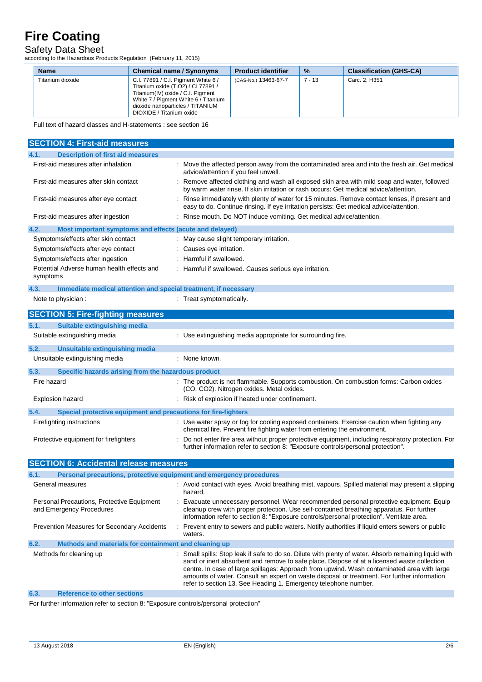Safety Data Sheet according to the Hazardous Products Regulation (February 11, 2015)

| <b>Name</b>      | <b>Chemical name / Synonyms</b>                                                                                                                                                                                        | <b>Product identifier</b> | $\%$   | <b>Classification (GHS-CA)</b> |
|------------------|------------------------------------------------------------------------------------------------------------------------------------------------------------------------------------------------------------------------|---------------------------|--------|--------------------------------|
| Titanium dioxide | C.I. 77891 / C.I. Pigment White 6 /<br>Titanium oxide (TiO2) / CI 77891 /<br>Titanium(IV) oxide / C.I. Pigment<br>White 7 / Pigment White 6 / Titanium<br>dioxide nanoparticles / TITANIUM<br>DIOXIDE / Titanium oxide | (CAS-No.) 13463-67-7      | 7 - 13 | Carc. 2, H351                  |

Full text of hazard classes and H-statements : see section 16

| <b>SECTION 4: First-aid measures</b>                                        |                                                                                                                                                                                                                                                                                                                                                                                                                                                                     |
|-----------------------------------------------------------------------------|---------------------------------------------------------------------------------------------------------------------------------------------------------------------------------------------------------------------------------------------------------------------------------------------------------------------------------------------------------------------------------------------------------------------------------------------------------------------|
| <b>Description of first aid measures</b><br>4.1.                            |                                                                                                                                                                                                                                                                                                                                                                                                                                                                     |
| First-aid measures after inhalation                                         | Move the affected person away from the contaminated area and into the fresh air. Get medical<br>advice/attention if you feel unwell.                                                                                                                                                                                                                                                                                                                                |
| First-aid measures after skin contact                                       | : Remove affected clothing and wash all exposed skin area with mild soap and water, followed<br>by warm water rinse. If skin irritation or rash occurs: Get medical advice/attention.                                                                                                                                                                                                                                                                               |
| First-aid measures after eye contact                                        | Rinse immediately with plenty of water for 15 minutes. Remove contact lenses, if present and<br>easy to do. Continue rinsing. If eye irritation persists: Get medical advice/attention.                                                                                                                                                                                                                                                                             |
| First-aid measures after ingestion                                          | : Rinse mouth. Do NOT induce vomiting. Get medical advice/attention.                                                                                                                                                                                                                                                                                                                                                                                                |
| 4.2.<br>Most important symptoms and effects (acute and delayed)             |                                                                                                                                                                                                                                                                                                                                                                                                                                                                     |
| Symptoms/effects after skin contact                                         | : May cause slight temporary irritation.                                                                                                                                                                                                                                                                                                                                                                                                                            |
| Symptoms/effects after eye contact                                          | Causes eye irritation.                                                                                                                                                                                                                                                                                                                                                                                                                                              |
| Symptoms/effects after ingestion                                            | Harmful if swallowed.                                                                                                                                                                                                                                                                                                                                                                                                                                               |
| Potential Adverse human health effects and<br>symptoms                      | Harmful if swallowed. Causes serious eye irritation.                                                                                                                                                                                                                                                                                                                                                                                                                |
| Immediate medical attention and special treatment, if necessary<br>4.3.     |                                                                                                                                                                                                                                                                                                                                                                                                                                                                     |
| Note to physician :                                                         | : Treat symptomatically.                                                                                                                                                                                                                                                                                                                                                                                                                                            |
| <b>SECTION 5: Fire-fighting measures</b>                                    |                                                                                                                                                                                                                                                                                                                                                                                                                                                                     |
| 5.1.<br><b>Suitable extinguishing media</b>                                 |                                                                                                                                                                                                                                                                                                                                                                                                                                                                     |
| Suitable extinguishing media                                                | : Use extinguishing media appropriate for surrounding fire.                                                                                                                                                                                                                                                                                                                                                                                                         |
| <b>Unsuitable extinguishing media</b><br>5.2.                               |                                                                                                                                                                                                                                                                                                                                                                                                                                                                     |
| Unsuitable extinguishing media                                              | : None known.                                                                                                                                                                                                                                                                                                                                                                                                                                                       |
| 5.3.<br>Specific hazards arising from the hazardous product                 |                                                                                                                                                                                                                                                                                                                                                                                                                                                                     |
| Fire hazard                                                                 | : The product is not flammable. Supports combustion. On combustion forms: Carbon oxides<br>(CO, CO2). Nitrogen oxides. Metal oxides.                                                                                                                                                                                                                                                                                                                                |
| <b>Explosion hazard</b>                                                     | Risk of explosion if heated under confinement.                                                                                                                                                                                                                                                                                                                                                                                                                      |
| 5.4.<br>Special protective equipment and precautions for fire-fighters      |                                                                                                                                                                                                                                                                                                                                                                                                                                                                     |
| Firefighting instructions                                                   | : Use water spray or fog for cooling exposed containers. Exercise caution when fighting any<br>chemical fire. Prevent fire fighting water from entering the environment.                                                                                                                                                                                                                                                                                            |
| Protective equipment for firefighters                                       | Do not enter fire area without proper protective equipment, including respiratory protection. For<br>further information refer to section 8: "Exposure controls/personal protection".                                                                                                                                                                                                                                                                               |
| <b>SECTION 6: Accidental release measures</b>                               |                                                                                                                                                                                                                                                                                                                                                                                                                                                                     |
| Personal precautions, protective equipment and emergency procedures<br>6.1. |                                                                                                                                                                                                                                                                                                                                                                                                                                                                     |
| General measures                                                            | : Avoid contact with eyes. Avoid breathing mist, vapours. Spilled material may present a slipping<br>hazard.                                                                                                                                                                                                                                                                                                                                                        |
| Personal Precautions, Protective Equipment<br>and Emergency Procedures      | Evacuate unnecessary personnel. Wear recommended personal protective equipment. Equip<br>cleanup crew with proper protection. Use self-contained breathing apparatus. For further<br>information refer to section 8: "Exposure controls/personal protection". Ventilate area.                                                                                                                                                                                       |
| Prevention Measures for Secondary Accidents                                 | Prevent entry to sewers and public waters. Notify authorities if liquid enters sewers or public<br>waters.                                                                                                                                                                                                                                                                                                                                                          |
| 6.2.<br>Methods and materials for containment and cleaning up               |                                                                                                                                                                                                                                                                                                                                                                                                                                                                     |
| Methods for cleaning up                                                     | Small spills: Stop leak if safe to do so. Dilute with plenty of water. Absorb remaining liquid with<br>sand or inert absorbent and remove to safe place. Dispose of at a licensed waste collection<br>centre. In case of large spillages: Approach from upwind. Wash contaminated area with large<br>amounts of water. Consult an expert on waste disposal or treatment. For further information<br>refer to section 13. See Heading 1. Emergency telephone number. |
| 6.3.<br><b>Reference to other sections</b>                                  |                                                                                                                                                                                                                                                                                                                                                                                                                                                                     |

For further information refer to section 8: "Exposure controls/personal protection"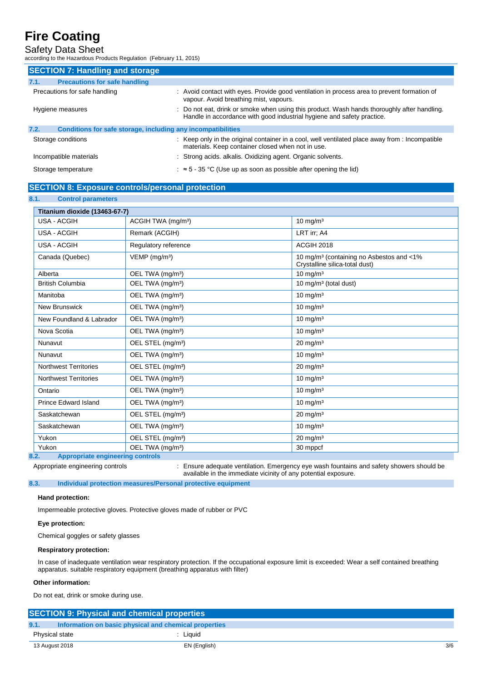Safety Data Sheet according to the Hazardous Products Regulation (February 11, 2015)

| <b>SECTION 7: Handling and storage</b>                               |                                                                                                                                                                       |
|----------------------------------------------------------------------|-----------------------------------------------------------------------------------------------------------------------------------------------------------------------|
| <b>Precautions for safe handling</b><br>7.1.                         |                                                                                                                                                                       |
| Precautions for safe handling                                        | : Avoid contact with eyes. Provide good ventilation in process area to prevent formation of<br>vapour. Avoid breathing mist, vapours.                                 |
| Hygiene measures                                                     | : Do not eat, drink or smoke when using this product. Wash hands thoroughly after handling.<br>Handle in accordance with good industrial hygiene and safety practice. |
| 7.2.<br>Conditions for safe storage, including any incompatibilities |                                                                                                                                                                       |
| Storage conditions                                                   | : Keep only in the original container in a cool, well ventilated place away from : Incompatible<br>materials. Keep container closed when not in use.                  |
| Incompatible materials                                               | : Strong acids. alkalis. Oxidizing agent. Organic solvents.                                                                                                           |
| Storage temperature                                                  | $\approx$ 5 - 35 °C (Use up as soon as possible after opening the lid)                                                                                                |

### **SECTION 8: Exposure controls/personal protection**

**8.1. Control parameters**

| Titanium dioxide (13463-67-7) |                                |                                                                                         |  |
|-------------------------------|--------------------------------|-----------------------------------------------------------------------------------------|--|
| <b>USA - ACGIH</b>            | ACGIH TWA (mg/m <sup>3</sup> ) | $10 \text{ mg/m}^3$                                                                     |  |
| <b>USA - ACGIH</b>            | Remark (ACGIH)                 | LRT irr; A4                                                                             |  |
| <b>USA - ACGIH</b>            | Regulatory reference           | <b>ACGIH 2018</b>                                                                       |  |
| Canada (Quebec)               | $VEMP$ (mg/m <sup>3</sup> )    | 10 mg/m <sup>3</sup> (containing no Asbestos and <1%)<br>Crystalline silica-total dust) |  |
| Alberta                       | OEL TWA (mg/m <sup>3</sup> )   | 10 mg/m $3$                                                                             |  |
| <b>British Columbia</b>       | OEL TWA (mg/m <sup>3</sup> )   | 10 mg/m <sup>3</sup> (total dust)                                                       |  |
| Manitoba                      | OEL TWA (mg/m <sup>3</sup> )   | 10 mg/m $3$                                                                             |  |
| <b>New Brunswick</b>          | OEL TWA (mg/m <sup>3</sup> )   | $10$ mg/m <sup>3</sup>                                                                  |  |
| New Foundland & Labrador      | OEL TWA (mg/m <sup>3</sup> )   | $10 \text{ mg/m}^3$                                                                     |  |
| Nova Scotia                   | OEL TWA (mg/m <sup>3</sup> )   | $10 \text{ mg/m}^3$                                                                     |  |
| Nunavut                       | OEL STEL (mg/m <sup>3</sup> )  | $20 \text{ mg/m}^3$                                                                     |  |
| Nunavut                       | OEL TWA (mg/m <sup>3</sup> )   | $10$ mg/m <sup>3</sup>                                                                  |  |
| <b>Northwest Territories</b>  | OEL STEL (mg/m <sup>3</sup> )  | $20 \text{ mg/m}^3$                                                                     |  |
| <b>Northwest Territories</b>  | OEL TWA (mg/m <sup>3</sup> )   | $10 \text{ mg/m}^3$                                                                     |  |
| Ontario                       | OEL TWA (mg/m <sup>3</sup> )   | $10 \text{ mg/m}^3$                                                                     |  |
| <b>Prince Edward Island</b>   | OEL TWA (mg/m <sup>3</sup> )   | $10$ mg/m <sup>3</sup>                                                                  |  |
| Saskatchewan                  | OEL STEL (mg/m <sup>3</sup> )  | $20$ mg/m <sup>3</sup>                                                                  |  |
| Saskatchewan                  | OEL TWA (mg/m <sup>3</sup> )   | $10$ mg/m <sup>3</sup>                                                                  |  |
| Yukon                         | OEL STEL (mg/m <sup>3</sup> )  | $20 \text{ mg/m}^3$                                                                     |  |
| Yukon                         | OEL TWA (mg/m <sup>3</sup> )   | 30 mppcf                                                                                |  |

Appropriate engineering controls : Ensure adequate ventilation. Emergency eye wash fountains and safety showers should be available in the immediate vicinity of any potential exposure.

**8.3. Individual protection measures/Personal protective equipment**

### **Hand protection:**

Impermeable protective gloves. Protective gloves made of rubber or PVC

### **Eye protection:**

Chemical goggles or safety glasses

### **Respiratory protection:**

In case of inadequate ventilation wear respiratory protection. If the occupational exposure limit is exceeded: Wear a self contained breathing apparatus. suitable respiratory equipment (breathing apparatus with filter)

### **Other information:**

Do not eat, drink or smoke during use.

| <b>SECTION 9: Physical and chemical properties</b> |                                                       |     |
|----------------------------------------------------|-------------------------------------------------------|-----|
|                                                    |                                                       |     |
| 9.1.                                               | Information on basic physical and chemical properties |     |
| Physical state                                     | : Liauid                                              |     |
| 13 August 2018                                     | EN (English)                                          | 3/6 |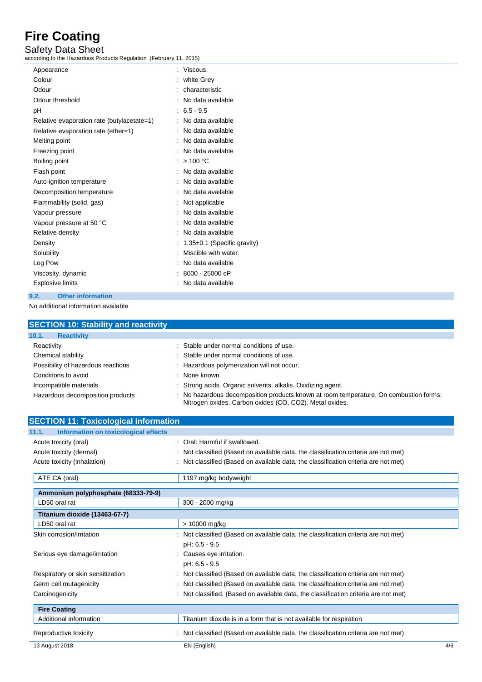Safety Data Sheet according to the Hazardous Products Regulation (February 11, 2015)

| Appearance                                 | Viscous.                    |
|--------------------------------------------|-----------------------------|
| Colour                                     | white Grey                  |
| Odour                                      | characteristic              |
| Odour threshold                            | No data available           |
| рH                                         | $: 6.5 - 9.5$               |
| Relative evaporation rate (butylacetate=1) | No data available           |
| Relative evaporation rate (ether=1)        | No data available           |
| Melting point                              | : No data available         |
| Freezing point                             | No data available           |
| Boiling point                              | >100 °C                     |
| Flash point                                | No data available           |
| Auto-ignition temperature                  | No data available           |
| Decomposition temperature                  | No data available           |
| Flammability (solid, gas)                  | Not applicable              |
| Vapour pressure                            | No data available           |
| Vapour pressure at 50 °C                   | No data available           |
| Relative density                           | No data available           |
| Density                                    | 1.35±0.1 (Specific gravity) |
| Solubility                                 | Miscible with water.        |
| Log Pow                                    | No data available           |
| Viscosity, dynamic                         | $: 8000 - 25000$ cP         |
| <b>Explosive limits</b>                    | No data available           |
|                                            |                             |

## **9.2. Other information**

No additional information available

| <b>SECTION 10: Stability and reactivity</b> |                                                                                                                                                  |
|---------------------------------------------|--------------------------------------------------------------------------------------------------------------------------------------------------|
| 10.1.<br><b>Reactivity</b>                  |                                                                                                                                                  |
| Reactivity                                  | : Stable under normal conditions of use.                                                                                                         |
| Chemical stability                          | : Stable under normal conditions of use.                                                                                                         |
| Possibility of hazardous reactions          | : Hazardous polymerization will not occur.                                                                                                       |
| Conditions to avoid                         | : None known.                                                                                                                                    |
| Incompatible materials                      | : Strong acids. Organic solvents. alkalis. Oxidizing agent.                                                                                      |
| Hazardous decomposition products            | : No hazardous decomposition products known at room temperature. On combustion forms:<br>Nitrogen oxides. Carbon oxides (CO, CO2). Metal oxides. |

| <b>SECTION 11: Toxicological information</b>  |                                                                                      |     |
|-----------------------------------------------|--------------------------------------------------------------------------------------|-----|
| Information on toxicological effects<br>11.1. |                                                                                      |     |
| Acute toxicity (oral)                         | : Oral: Harmful if swallowed.                                                        |     |
| Acute toxicity (dermal)                       | : Not classified (Based on available data, the classification criteria are not met)  |     |
| Acute toxicity (inhalation)                   | : Not classified (Based on available data, the classification criteria are not met)  |     |
| ATE CA (oral)                                 | 1197 mg/kg bodyweight                                                                |     |
| Ammonium polyphosphate (68333-79-9)           |                                                                                      |     |
| LD50 oral rat                                 | 300 - 2000 mg/kg                                                                     |     |
| Titanium dioxide (13463-67-7)                 |                                                                                      |     |
| LD50 oral rat                                 | > 10000 mg/kg                                                                        |     |
| Skin corrosion/irritation                     | : Not classified (Based on available data, the classification criteria are not met)  |     |
|                                               | pH: 6.5 - 9.5                                                                        |     |
| Serious eye damage/irritation                 | : Causes eye irritation.                                                             |     |
|                                               | pH: 6.5 - 9.5                                                                        |     |
| Respiratory or skin sensitization             | : Not classified (Based on available data, the classification criteria are not met)  |     |
| Germ cell mutagenicity                        | : Not classified (Based on available data, the classification criteria are not met)  |     |
| Carcinogenicity                               | : Not classified. (Based on available data, the classification criteria are not met) |     |
| <b>Fire Coating</b>                           |                                                                                      |     |
| Additional information                        | Titanium dioxide is in a form that is not available for respiration                  |     |
| Reproductive toxicity                         | : Not classified (Based on available data, the classification criteria are not met)  |     |
| 13 August 2018                                | EN (English)                                                                         | 4/6 |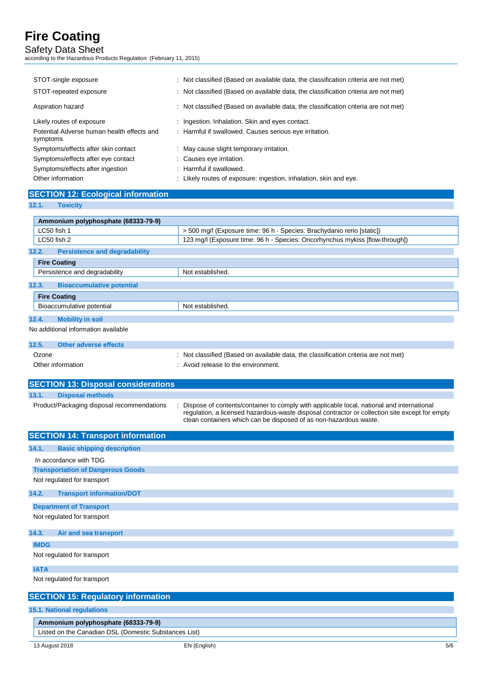Safety Data Sheet according to the Hazardous Products Regulation (February 11, 2015)

| STOT-single exposure<br>STOT-repeated exposure                          | : Not classified (Based on available data, the classification criteria are not met)<br>: Not classified (Based on available data, the classification criteria are not met) |
|-------------------------------------------------------------------------|----------------------------------------------------------------------------------------------------------------------------------------------------------------------------|
| Aspiration hazard                                                       | : Not classified (Based on available data, the classification criteria are not met)                                                                                        |
| Likely routes of exposure<br>Potential Adverse human health effects and | : Ingestion. Inhalation. Skin and eyes contact.<br>: Harmful if swallowed. Causes serious eye irritation.                                                                  |
| symptoms                                                                |                                                                                                                                                                            |
| Symptoms/effects after skin contact                                     | : May cause slight temporary irritation.                                                                                                                                   |
| Symptoms/effects after eye contact                                      | : Causes eye irritation.                                                                                                                                                   |
| Symptoms/effects after ingestion                                        | : Harmful if swallowed.                                                                                                                                                    |
| Other information                                                       | : Likely routes of exposure: ingestion, inhalation, skin and eye.                                                                                                          |

## **SECTION 12: Ecological information**

**12.1. Toxicity**

| Ammonium polyphosphate (68333-79-9)           |                                                                                     |
|-----------------------------------------------|-------------------------------------------------------------------------------------|
| LC50 fish 1                                   | > 500 mg/l (Exposure time: 96 h - Species: Brachydanio rerio [static])              |
| LC50 fish 2                                   | 123 mg/l (Exposure time: 96 h - Species: Oncorhynchus mykiss [flow-through])        |
| <b>Persistence and degradability</b><br>12.2. |                                                                                     |
| <b>Fire Coating</b>                           |                                                                                     |
| Persistence and degradability                 | Not established.                                                                    |
| <b>Bioaccumulative potential</b><br>12.3.     |                                                                                     |
| <b>Fire Coating</b>                           |                                                                                     |
| Bioaccumulative potential                     | Not established.                                                                    |
| 12.4.<br><b>Mobility in soil</b>              |                                                                                     |
| No additional information available           |                                                                                     |
| Other adverse effects<br>12.5.                |                                                                                     |
| Ozone                                         | : Not classified (Based on available data, the classification criteria are not met) |
| Other information                             | : Avoid release to the environment.                                                 |

|       | <b>SECTION 13: Disposal considerations</b> |                                                                                                                                                                                                                                                                  |
|-------|--------------------------------------------|------------------------------------------------------------------------------------------------------------------------------------------------------------------------------------------------------------------------------------------------------------------|
| 13.1. | <b>Disposal methods</b>                    |                                                                                                                                                                                                                                                                  |
|       | Product/Packaging disposal recommendations | Dispose of contents/container to comply with applicable local, national and international<br>regulation, a licensed hazardous-waste disposal contractor or collection site except for empty<br>clean containers which can be disposed of as non-hazardous waste. |

| <b>SECTION 14: Transport information</b>              |  |  |  |
|-------------------------------------------------------|--|--|--|
| <b>Basic shipping description</b><br>14.1.            |  |  |  |
| In accordance with TDG                                |  |  |  |
| <b>Transportation of Dangerous Goods</b>              |  |  |  |
| Not regulated for transport                           |  |  |  |
| 14.2.<br><b>Transport information/DOT</b>             |  |  |  |
| <b>Department of Transport</b>                        |  |  |  |
| Not regulated for transport                           |  |  |  |
| 14.3.<br>Air and sea transport                        |  |  |  |
| <b>IMDG</b>                                           |  |  |  |
| Not regulated for transport                           |  |  |  |
| <b>IATA</b>                                           |  |  |  |
| Not regulated for transport                           |  |  |  |
| <b>SECTION 15: Regulatory information</b>             |  |  |  |
| <b>15.1. National regulations</b>                     |  |  |  |
| Ammonium polyphosphate (68333-79-9)                   |  |  |  |
| Listed on the Canadian DSL (Domestic Substances List) |  |  |  |